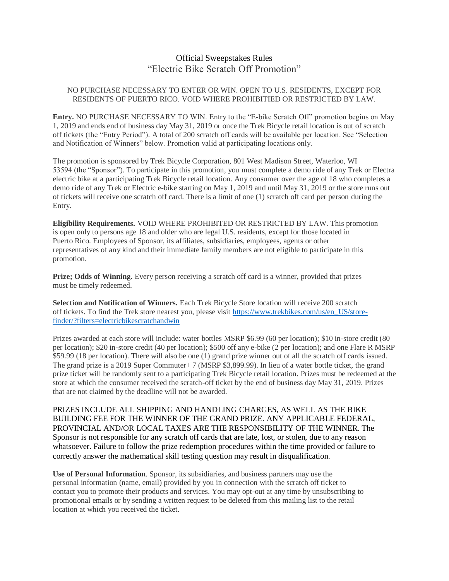## Official Sweepstakes Rules "Electric Bike Scratch Off Promotion"

## NO PURCHASE NECESSARY TO ENTER OR WIN. OPEN TO U.S. RESIDENTS, EXCEPT FOR RESIDENTS OF PUERTO RICO. VOID WHERE PROHIBITIED OR RESTRICTED BY LAW.

**Entry.** NO PURCHASE NECESSARY TO WIN. Entry to the "E-bike Scratch Off" promotion begins on May 1, 2019 and ends end of business day May 31, 2019 or once the Trek Bicycle retail location is out of scratch off tickets (the "Entry Period"). A total of 200 scratch off cards will be available per location. See "Selection and Notification of Winners" below. Promotion valid at participating locations only.

The promotion is sponsored by Trek Bicycle Corporation, 801 West Madison Street, Waterloo, WI 53594 (the "Sponsor"). To participate in this promotion, you must complete a demo ride of any Trek or Electra electric bike at a participating Trek Bicycle retail location. Any consumer over the age of 18 who completes a demo ride of any Trek or Electric e-bike starting on May 1, 2019 and until May 31, 2019 or the store runs out of tickets will receive one scratch off card. There is a limit of one (1) scratch off card per person during the Entry.

**Eligibility Requirements.** VOID WHERE PROHIBITED OR RESTRICTED BY LAW. This promotion is open only to persons age 18 and older who are legal U.S. residents, except for those located in Puerto Rico. Employees of Sponsor, its affiliates, subsidiaries, employees, agents or other representatives of any kind and their immediate family members are not eligible to participate in this promotion.

**Prize; Odds of Winning.** Every person receiving a scratch off card is a winner, provided that prizes must be timely redeemed.

**Selection and Notification of Winners.** Each Trek Bicycle Store location will receive 200 scratch off tickets. To find the Trek store nearest you, please visit [https://www.trekbikes.com/us/en\\_US/store](https://www.trekbikes.com/us/en_US/store-finder/?filters=electricbikescratchandwin)[finder/?filters=electricbikescratchandwin](https://www.trekbikes.com/us/en_US/store-finder/?filters=electricbikescratchandwin)

Prizes awarded at each store will include: water bottles MSRP \$6.99 (60 per location); \$10 in-store credit (80 per location); \$20 in-store credit (40 per location); \$500 off any e-bike (2 per location); and one Flare R MSRP \$59.99 (18 per location). There will also be one (1) grand prize winner out of all the scratch off cards issued. The grand prize is a 2019 Super Commuter+ 7 (MSRP \$3,899.99). In lieu of a water bottle ticket, the grand prize ticket will be randomly sent to a participating Trek Bicycle retail location. Prizes must be redeemed at the store at which the consumer received the scratch-off ticket by the end of business day May 31, 2019. Prizes that are not claimed by the deadline will not be awarded.

PRIZES INCLUDE ALL SHIPPING AND HANDLING CHARGES, AS WELL AS THE BIKE BUILDING FEE FOR THE WINNER OF THE GRAND PRIZE. ANY APPLICABLE FEDERAL, PROVINCIAL AND/OR LOCAL TAXES ARE THE RESPONSIBILITY OF THE WINNER. The Sponsor is not responsible for any scratch off cards that are late, lost, or stolen, due to any reason whatsoever. Failure to follow the prize redemption procedures within the time provided or failure to correctly answer the mathematical skill testing question may result in disqualification.

**Use of Personal Information**. Sponsor, its subsidiaries, and business partners may use the personal information (name, email) provided by you in connection with the scratch off ticket to contact you to promote their products and services. You may opt-out at any time by unsubscribing to promotional emails or by sending a written request to be deleted from this mailing list to the retail location at which you received the ticket.